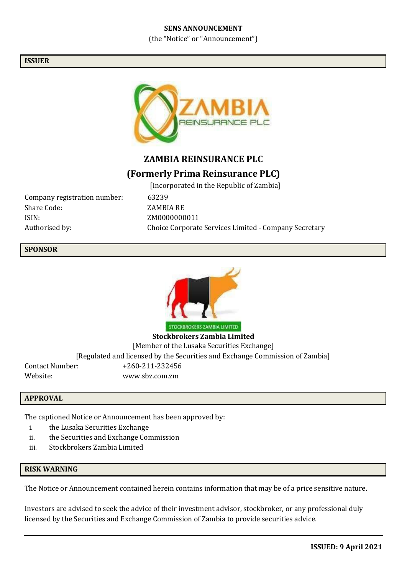## **SENS ANNOUNCEMENT**

(the "Notice" or "Announcement")

## **ISSUER**



# **ZAMBIA REINSURANCE PLC**

# **(Formerly Prima Reinsurance PLC)**

Company registration number: 63239 Share Code: ZAMBIA RE ISIN: ZM0000000011

[Incorporated in the Republic of Zambia] Authorised by: Choice Corporate Services Limited - Company Secretary

# **SPONSOR**



**Stockbrokers Zambia Limited** [Member of the Lusaka Securities Exchange] [Regulated and licensed by the Securities and Exchange Commission of Zambia] Contact Number: +260-211-232456 Website: [www.sbz.com.zm](http://www.sbz.com.zm/)

## **APPROVAL**

The captioned Notice or Announcement has been approved by:

- i. the Lusaka Securities Exchange
- ii. the Securities and Exchange Commission
- iii. Stockbrokers Zambia Limited

# **RISK WARNING**

The Notice or Announcement contained herein contains information that may be of a price sensitive nature.

Investors are advised to seek the advice of their investment advisor, stockbroker, or any professional duly licensed by the Securities and Exchange Commission of Zambia to provide securities advice.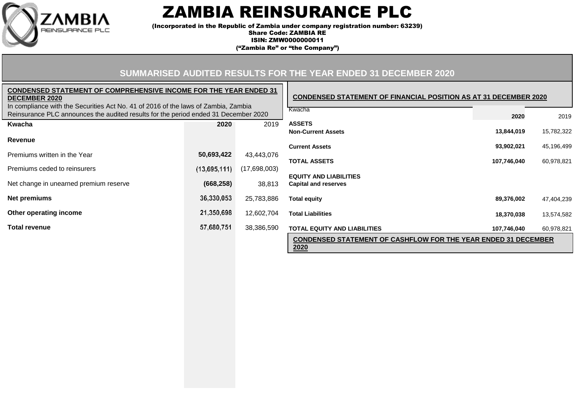

# ZAMBIA REINSURANCE PLC

(Incorporated in the Republic of Zambia under company registration number: 63239) Share Code: ZAMBIA RE

ISIN: ZMW0000000011

("Zambia Re" or "the Company")

#### **CONDENSED STATEMENT OF FINANCIAL POSITION AS AT 31 DECEMBER 2020 SUMMARISED AUDITED RESULTS FOR THE YEAR ENDED 31 DECEMBER 2020 2020 CONDENSED STATEMENT OF COMPREHENSIVE INCOME FOR THE YEAR ENDED 31 DECEMBER 2020** In compliance with the Securities Act No. 41 of 2016 of the laws of Zambia, Zambia Reinsurance PLC announces the audited results for the period ended 31 December 2020 Kwacha 2019 **Kwacha 2020** 2019 **ASSETS Non-Current Assets 13,844,019** 15,782,322 **Revenue Current Assets 93,902,021** 45,196,499 Premiums written in the Year **50,693,422** 43,443,076 **TOTAL ASSETS 107,746,040** 60,978,821 Premiums ceded to reinsurers (17,698,003) Net change in unearned premium reserve **(668,258)** 38,813 **EQUITY AND LIABILITIES Capital and reserves Net premiums** 25,783,886 **Total equity 89,376,002** 47,404,239 **Other operating income** 12,602,704 **Total Liabilities 18,370,038** 13,574,582

**2020**

**CONDENSED STATEMENT OF CASHFLOW FOR THE YEAR ENDED 31 DECEMBER**

**Total revenue** 38,386,590 **TOTAL EQUITY AND LIABILITIES 107,746,040** 60,978,821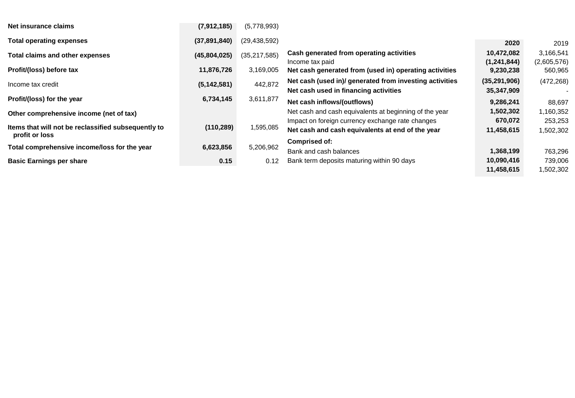| Net insurance claims                                                  | (7,912,185)   | (5,778,993)    |                                                                                                      |                           |                          |
|-----------------------------------------------------------------------|---------------|----------------|------------------------------------------------------------------------------------------------------|---------------------------|--------------------------|
| <b>Total operating expenses</b>                                       | (37,891,840)  | (29, 438, 592) |                                                                                                      | 2020                      | 2019                     |
| Total claims and other expenses                                       | (45,804,025)  | (35, 217, 585) | Cash generated from operating activities<br>Income tax paid                                          | 10,472,082<br>(1,241,844) | 3,166,541<br>(2,605,576) |
| Profit/(loss) before tax                                              | 11,876,726    | 3,169,005      | Net cash generated from (used in) operating activities                                               | 9,230,238                 | 560,965                  |
| Income tax credit                                                     | (5, 142, 581) | 442,872        | Net cash (used in)/ generated from investing activities<br>Net cash used in financing activities     | (35, 291, 906)            | (472, 268)               |
| Profit/(loss) for the year                                            | 6,734,145     | 3,611,877      | Net cash inflows/(outflows)                                                                          | 35,347,909<br>9,286,241   | 88,697                   |
| Other comprehensive income (net of tax)                               |               |                | Net cash and cash equivalents at beginning of the year                                               | 1,502,302                 | 1,160,352                |
| Items that will not be reclassified subsequently to<br>profit or loss | (110, 289)    | 1,595,085      | Impact on foreign currency exchange rate changes<br>Net cash and cash equivalents at end of the year | 670,072<br>11,458,615     | 253,253<br>1,502,302     |
| Total comprehensive income/loss for the year                          | 6,623,856     | 5,206,962      | Comprised of:<br>Bank and cash balances                                                              | 1,368,199                 | 763,296                  |
| <b>Basic Earnings per share</b>                                       | 0.15          | 0.12           | Bank term deposits maturing within 90 days                                                           | 10,090,416<br>11,458,615  | 739,006<br>1,502,302     |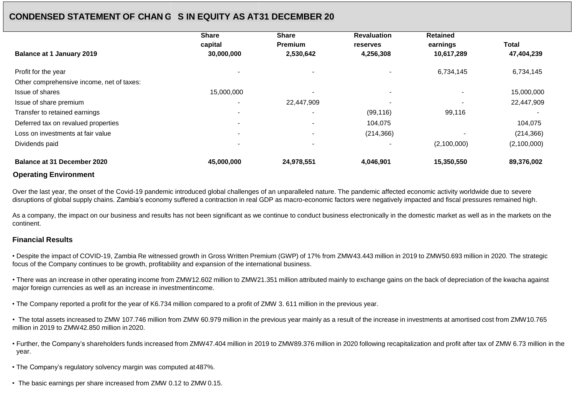# **CONDENSED STATEMENT OF CHAN GES IN EQUITY AS AT31 DECEMBER 20**

|                                           | <b>Share</b>             | <b>Share</b>   | <b>Revaluation</b> | <b>Retained</b> |              |
|-------------------------------------------|--------------------------|----------------|--------------------|-----------------|--------------|
|                                           | capital                  | <b>Premium</b> | reserves           | earnings        | <b>Total</b> |
| <b>Balance at 1 January 2019</b>          | 30,000,000               | 2,530,642      | 4,256,308          | 10,617,289      | 47,404,239   |
| Profit for the year                       |                          |                |                    | 6,734,145       | 6,734,145    |
| Other comprehensive income, net of taxes: |                          |                |                    |                 |              |
| Issue of shares                           | 15,000,000               |                |                    |                 | 15,000,000   |
| Issue of share premium                    | $\overline{\phantom{a}}$ | 22,447,909     |                    |                 | 22,447,909   |
| Transfer to retained earnings             |                          |                | (99, 116)          | 99,116          |              |
| Deferred tax on revalued properties       | $\overline{\phantom{a}}$ |                | 104,075            |                 | 104,075      |
| Loss on investments at fair value         |                          |                | (214, 366)         |                 | (214, 366)   |
| Dividends paid                            |                          |                |                    | (2,100,000)     | (2,100,000)  |
| Balance at 31 December 2020               | 45,000,000               | 24,978,551     | 4,046,901          | 15,350,550      | 89,376,002   |

### **Operating Environment**

Over the last year, the onset of the Covid-19 pandemic introduced global challenges of an unparalleled nature. The pandemic affected economic activity worldwide due to severe disruptions of global supply chains. Zambia's economy suffered a contraction in real GDP as macro-economic factors were negatively impacted and fiscal pressures remained high.

As a company, the impact on our business and results has not been significant as we continue to conduct business electronically in the domestic market as well as in the markets on the continent.

### **Financial Results**

• Despite the impact of COVID-19, Zambia Re witnessed growth in Gross Written Premium (GWP) of 17% from ZMW43.443 million in 2019 to ZMW50.693 million in 2020. The strategic focus of the Company continues to be growth, profitability and expansion of the international business.

• There was an increase in other operating income from ZMW12.602 million to ZMW21.351 million attributed mainly to exchange gains on the back of depreciation of the kwacha against major foreign currencies as well as an increase in investmentincome.

• The Company reported a profit for the year of K6.734 million compared to a profit of ZMW 3. 611 million in the previous year.

• The total assets increased to ZMW 107.746 million from ZMW 60.979 million in the previous year mainly as a result of the increase in investments at amortised cost from ZMW10.765 million in 2019 to ZMW42.850 million in 2020.

• Further, the Company's shareholders funds increased from ZMW47.404 million in 2019 to ZMW89.376 million in 2020 following recapitalization and profit after tax of ZMW 6.73 million in the year.

• The Company's regulatory solvency margin was computed at487%.

• The basic earnings per share increased from ZMW 0.12 to ZMW 0.15.